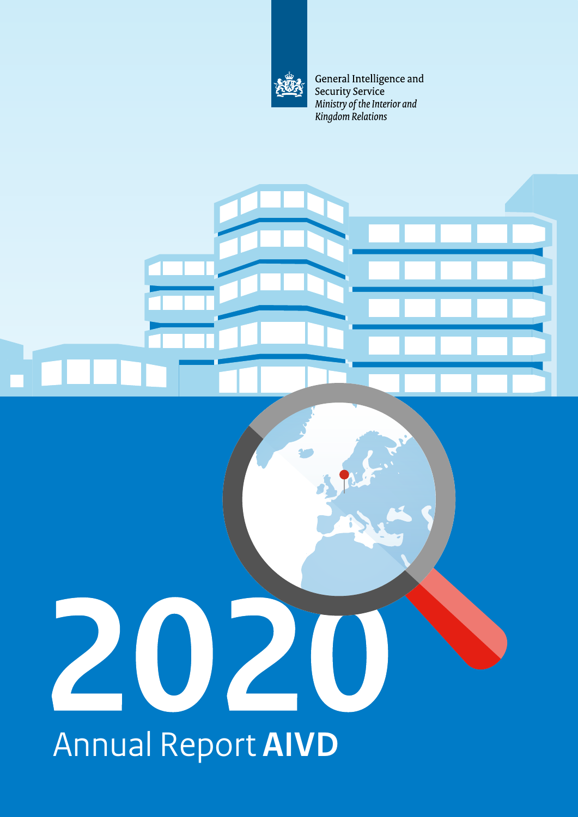

General Intelligence and Security Service Ministry of the Interior and Kingdom Relations



# 202 **[Annual Report](#page-1-0) AIVD**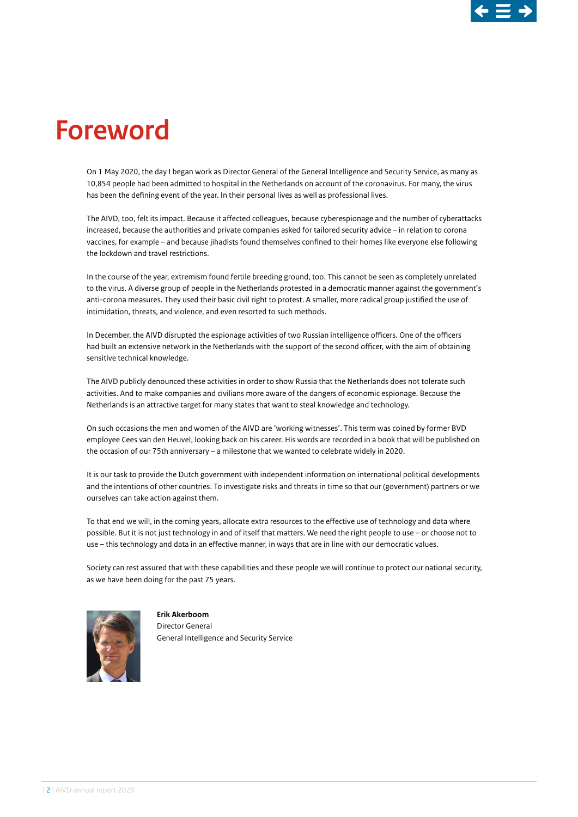

# <span id="page-1-0"></span>**Foreword**

On 1 May 2020, the day I began work as Director General of the General Intelligence and Security Service, as many as 10,854 people had been admited to hospital in the Netherlands on account of the coronavirus. For many, the virus has been the defning event of the year. In their personal lives as well as professional lives.

The AIVD, too, felt its impact. Because it afected colleagues, because cyberespionage and the number of cyberatacks increased, because the authorities and private companies asked for tailored security advice – in relation to corona vaccines, for example – and because jihadists found themselves confned to their homes like everyone else following the lockdown and travel restrictions.

In the course of the year, extremism found fertile breeding ground, too. This cannot be seen as completely unrelated to the virus. A diverse group of people in the Netherlands protested in a democratic manner against the government's anti-corona measures. They used their basic civil right to protest. A smaller, more radical group justifed the use of intimidation, threats, and violence, and even resorted to such methods.

In December, the AIVD disrupted the espionage activities of two Russian intelligence officers. One of the officers had built an extensive network in the Netherlands with the support of the second officer, with the aim of obtaining sensitive technical knowledge.

The AIVD publicly denounced these activities in order to show Russia that the Netherlands does not tolerate such activities. And to make companies and civilians more aware of the dangers of economic espionage. Because the Netherlands is an atractive target for many states that want to steal knowledge and technology.

On such occasions the men and women of the AIVD are 'working witnesses'. This term was coined by former BVD employee Cees van den Heuvel, looking back on his career. His words are recorded in a book that will be published on the occasion of our 75th anniversary – a milestone that we wanted to celebrate widely in 2020.

It is our task to provide the Dutch government with independent information on international political developments and the intentions of other countries. To investigate risks and threats in time so that our (government) partners or we ourselves can take action against them.

To that end we will, in the coming years, allocate extra resources to the efective use of technology and data where possible. But it is not just technology in and of itself that matters. We need the right people to use - or choose not to use – this technology and data in an efective manner, in ways that are in line with our democratic values.

Society can rest assured that with these capabilities and these people we will continue to protect our national security, as we have been doing for the past 75 years.



**Erik Akerboom** Director General General Intelligence and Security Service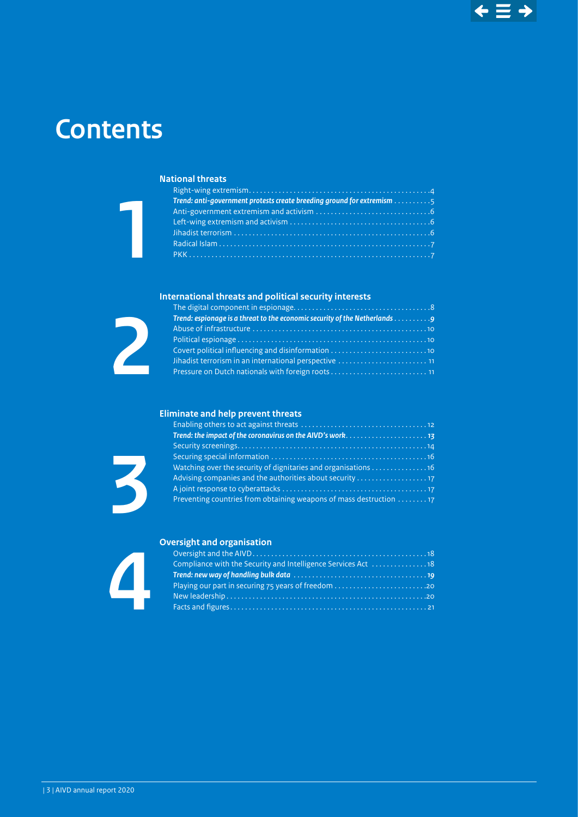# **Contents**

# **[National threats](#page-3-0)**

| Trend: anti-government protests create breeding ground for extremism 5 |  |
|------------------------------------------------------------------------|--|
|                                                                        |  |
|                                                                        |  |
|                                                                        |  |
|                                                                        |  |
|                                                                        |  |

# **[International threats and political security interests](#page-7-0)**



**[1](#page-3-0)**

| Trend: espionage is a threat to the economic security of the Netherlands $\ldots \ldots \ldots$ |  |
|-------------------------------------------------------------------------------------------------|--|
|                                                                                                 |  |
|                                                                                                 |  |
| Covert political influencing and disinformation                                                 |  |
|                                                                                                 |  |
| Pressure on Dutch nationals with foreign roots                                                  |  |

# **[Eliminate and help prevent threats](#page-11-0)**

| Advising companies and the authorities about security              |
|--------------------------------------------------------------------|
|                                                                    |
| Preventing countries from obtaining weapons of mass destruction 17 |



**[3](#page-11-0)**

# **[Oversight and organisation](#page-17-0)**

| Playing our part in securing 75 years of freedom $\ldots \ldots \ldots \ldots \ldots \ldots \ldots$ |  |
|-----------------------------------------------------------------------------------------------------|--|
|                                                                                                     |  |
|                                                                                                     |  |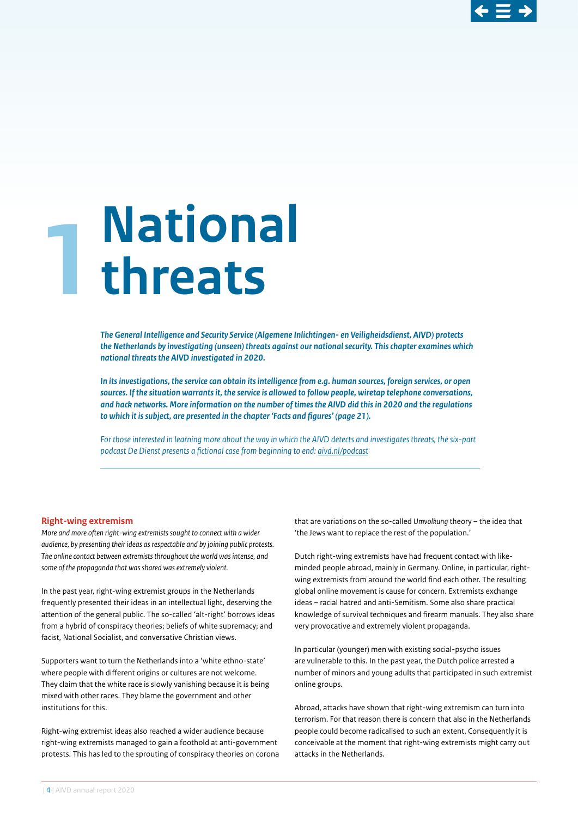

# <span id="page-3-0"></span>**1National threats**

*The General Intelligence and Security Service (Algemene Inlichtingen- en Veiligheidsdienst, AIVD) protects the Netherlands by investigating (unseen) threats against our national security. This chapter examines which national threats the AIVD investigated in 2020.*

*In its investigations, the service can obtain its intelligence from e.g. human sources, foreign services, or open sources. If the situation warrants it, the service is allowed to follow people, wiretap telephone conversations, and hack networks. More information on the number of times the AIVD did this in 2020 and the regulations to which it is subject, are presented in the chapter 'Facts and fgures' (page 21).*

*For those interested in learning more about the way in which the AIVD detects and investigates threats, the six-part podcast De Dienst presents a fctional case from beginning to end: [aivd.nl/podcast](https://www.aivd.nl/actueel/nieuws/2021/01/25/aivd-laat-nederland-meeluisteren-met-onderzoek-naar-terroristische-dreiging)*

#### **Right-wing extremism**

*More and more ofen right-wing extremists sought to connect with a wider audience, by presenting their ideas as respectable and by joining public protests. The online contact between extremists throughout the world was intense, and some of the propaganda that was shared was extremely violent.*

In the past year, right-wing extremist groups in the Netherlands frequently presented their ideas in an intellectual light, deserving the atention of the general public. The so-called 'alt-right' borrows ideas from a hybrid of conspiracy theories; beliefs of white supremacy; and facist, National Socialist, and conversative Christian views.

Supporters want to turn the Netherlands into a 'white ethno-state' where people with diferent origins or cultures are not welcome. They claim that the white race is slowly vanishing because it is being mixed with other races. They blame the government and other institutions for this.

Right-wing extremist ideas also reached a wider audience because right-wing extremists managed to gain a foothold at anti-government protests. This has led to the sprouting of conspiracy theories on corona that are variations on the so-called *Umvolkung* theory – the idea that 'the Jews want to replace the rest of the population.'

Dutch right-wing extremists have had frequent contact with likeminded people abroad, mainly in Germany. Online, in particular, rightwing extremists from around the world fnd each other. The resulting global online movement is cause for concern. Extremists exchange ideas – racial hatred and anti-Semitism. Some also share practical knowledge of survival techniques and frearm manuals. They also share very provocative and extremely violent propaganda.

In particular (younger) men with existing social-psycho issues are vulnerable to this. In the past year, the Dutch police arrested a number of minors and young adults that participated in such extremist online groups.

Abroad, attacks have shown that right-wing extremism can turn into terrorism. For that reason there is concern that also in the Netherlands people could become radicalised to such an extent. Consequently it is conceivable at the moment that right-wing extremists might carry out atacks in the Netherlands.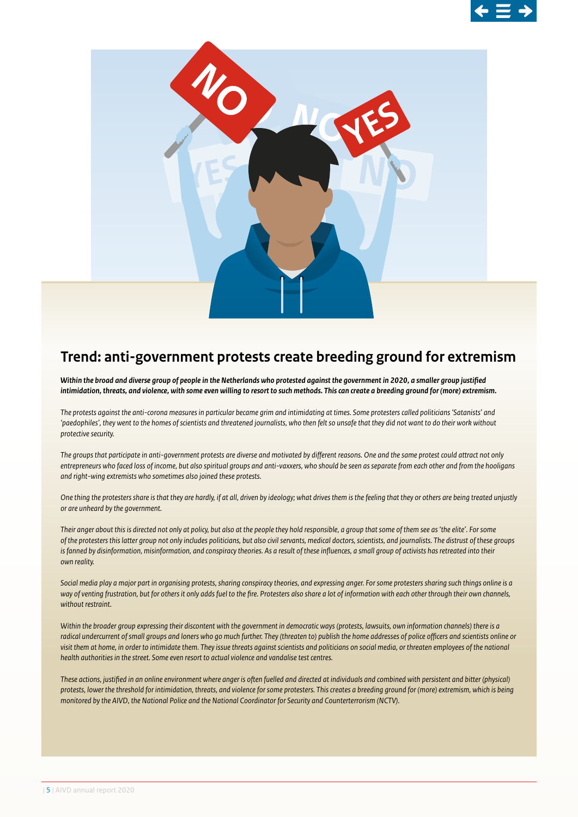

<span id="page-4-0"></span>

# **Trend: anti-government protests create breeding ground for extremism**

*Within the broad and diverse group of people in the Netherlands who protested against the government in 2020, a smaller group justifed intimidation, threats, and violence, with some even willing to resort to such methods. This can create a breeding ground for (more) extremism.*

*The protests against the anti-corona measures in particular became grim and intimidating at times. Some protesters called politicians 'Satanists' and 'paedophiles', they went to the homes of scientists and threatened journalists, who then felt so unsafe that they did not want to do their work without protective security.*

*The groups that participate in anti-government protests are diverse and motivated by diferent reasons. One and the same protest could atract not only entrepreneurs who faced loss of income, but also spiritual groups and anti-vaxxers, who should be seen as separate from each other and from the hooligans and right-wing extremists who sometimes also joined these protests.* 

*One thing the protesters share is that they are hardly, if at all, driven by ideology; what drives them is the feeling that they or others are being treated unjustly or are unheard by the government.*

*Their anger about this is directed not only at policy, but also at the people they hold responsible, a group that some of them see as 'the elite'. For some of the protesters this later group not only includes politicians, but also civil servants, medical doctors, scientists, and journalists. The distrust of these groups is fanned by disinformation, misinformation, and conspiracy theories. As a result of these influences, a small group of activists has retreated into their own reality.* 

*Social media play a major part in organising protests, sharing conspiracy theories, and expressing anger. For some protesters sharing such things online is a*  way of venting frustration, but for others it only adds fuel to the fire. Protesters also share a lot of information with each other through their own channels, *without restraint.* 

*Within the broader group expressing their discontent with the government in democratic ways (protests, lawsuits, own information channels) there is a*  radical undercurrent of small groups and loners who go much further. They (threaten to) publish the home addresses of police officers and scientists online or *visit them at home, in order to intimidate them. They issue threats against scientists and politicians on social media, or threaten employees of the national health authorities in the street. Some even resort to actual violence and vandalise test centres.*

*These actions, justifed in an online environment where anger is ofen fuelled and directed at individuals and combined with persistent and biter (physical) protests, lower the threshold for intimidation, threats, and violence for some protesters. This creates a breeding ground for (more) extremism, which is being monitored by the AIVD, the National Police and the National Coordinator for Security and Counterterrorism (NCTV).*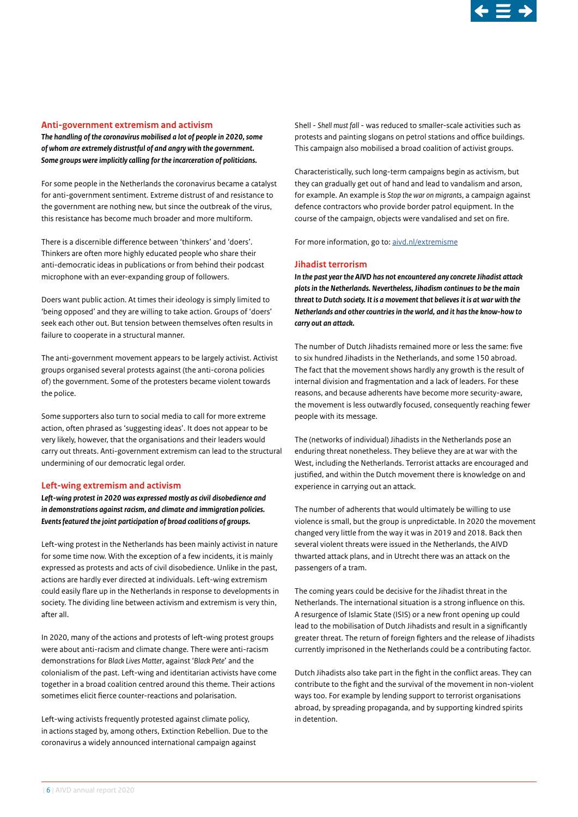

#### <span id="page-5-0"></span>**Anti-government extremism and activism**

*The handling of the coronavirus mobilised a lot of people in 2020, some of whom are extremely distrustful of and angry with the government. Some groups were implicitly calling for the incarceration of politicians.*

For some people in the Netherlands the coronavirus became a catalyst for anti-government sentiment. Extreme distrust of and resistance to the government are nothing new, but since the outbreak of the virus, this resistance has become much broader and more multiform.

There is a discernible diference between 'thinkers' and 'doers'. Thinkers are often more highly educated people who share their anti-democratic ideas in publications or from behind their podcast microphone with an ever-expanding group of followers.

Doers want public action. At times their ideology is simply limited to 'being opposed' and they are willing to take action. Groups of 'doers' seek each other out. But tension between themselves often results in failure to cooperate in a structural manner.

The anti-government movement appears to be largely activist. Activist groups organised several protests against (the anti-corona policies of) the government. Some of the protesters became violent towards the police.

Some supporters also turn to social media to call for more extreme action, often phrased as 'suggesting ideas'. It does not appear to be very likely, however, that the organisations and their leaders would carry out threats. Anti-government extremism can lead to the structural undermining of our democratic legal order.

#### **Left-wing extremism and activism**

*Lef-wing protest in 2020 was expressed mostly as civil disobedience and in demonstrations against racism, and climate and immigration policies. Events featured the joint participation of broad coalitions of groups.*

Left-wing protest in the Netherlands has been mainly activist in nature for some time now. With the exception of a few incidents, it is mainly expressed as protests and acts of civil disobedience. Unlike in the past, actions are hardly ever directed at individuals. Left-wing extremism could easily fare up in the Netherlands in response to developments in society. The dividing line between activism and extremism is very thin, after all.

In 2020, many of the actions and protests of left-wing protest groups were about anti-racism and climate change. There were anti-racism demonstrations for *Black Lives Mater*, against '*Black Pete*' and the colonialism of the past. Left-wing and identitarian activists have come together in a broad coalition centred around this theme. Their actions sometimes elicit ferce counter-reactions and polarisation.

Left-wing activists frequently protested against climate policy. in actions staged by, among others, Extinction Rebellion. Due to the coronavirus a widely announced international campaign against

Shell - *Shell must fall* - was reduced to smaller-scale activities such as protests and painting slogans on petrol stations and office buildings. This campaign also mobilised a broad coalition of activist groups.

Characteristically, such long-term campaigns begin as activism, but they can gradually get out of hand and lead to vandalism and arson, for example. An example is *Stop the war on migrants*, a campaign against defence contractors who provide border patrol equipment. In the course of the campaign, objects were vandalised and set on fre.

For more information, go to: [aivd.nl/extremisme](http://aivd.nl/extremisme)

### **Jihadist terrorism**

*In the past year the AIVD has not encountered any concrete Jihadist atack plots in the Netherlands. Nevertheless, Jihadism continues to be the main threat to Dutch society. It is a movement that believes it is at war with the Netherlands and other countries in the world, and it has the know-how to carry out an atack.* 

The number of Dutch Jihadists remained more or less the same: fve to six hundred Jihadists in the Netherlands, and some 150 abroad. The fact that the movement shows hardly any growth is the result of internal division and fragmentation and a lack of leaders. For these reasons, and because adherents have become more security-aware, the movement is less outwardly focused, consequently reaching fewer people with its message.

The (networks of individual) Jihadists in the Netherlands pose an enduring threat nonetheless. They believe they are at war with the West, including the Netherlands. Terrorist atacks are encouraged and justified, and within the Dutch movement there is knowledge on and experience in carrying out an atack.

The number of adherents that would ultimately be willing to use violence is small, but the group is unpredictable. In 2020 the movement changed very little from the way it was in 2019 and 2018. Back then several violent threats were issued in the Netherlands, the AIVD thwarted attack plans, and in Utrecht there was an attack on the passengers of a tram.

The coming years could be decisive for the Jihadist threat in the Netherlands. The international situation is a strong infuence on this. A resurgence of Islamic State (ISIS) or a new front opening up could lead to the mobilisation of Dutch Jihadists and result in a signifcantly greater threat. The return of foreign fghters and the release of Jihadists currently imprisoned in the Netherlands could be a contributing factor.

Dutch Jihadists also take part in the fght in the confict areas. They can contribute to the fght and the survival of the movement in non-violent ways too. For example by lending support to terrorist organisations abroad, by spreading propaganda, and by supporting kindred spirits in detention.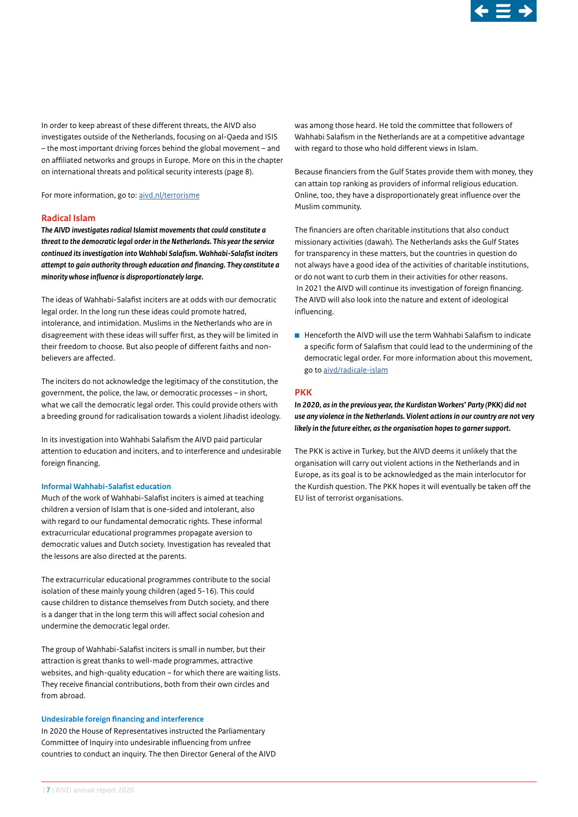

<span id="page-6-0"></span>In order to keep abreast of these diferent threats, the AIVD also investigates outside of the Netherlands, focusing on al-Qaeda and ISIS – the most important driving forces behind the global movement – and on affiliated networks and groups in Europe. More on this in the chapter on international threats and political security interests (page 8).

For more information, go to: [aivd.nl/terrorisme](http://aivd.nl/terrorisme)

### **Radical Islam**

*The AIVD investigates radical Islamist movements that could constitute a threat to the democratic legal order in the Netherlands. This year the service continued its investigation into Wahhabi Salafsm. Wahhabi-Salafst inciters atempt to gain authority through education and fnancing. They constitute a minority whose infuence is disproportionately large.*

The ideas of Wahhabi-Salafst inciters are at odds with our democratic legal order. In the long run these ideas could promote hatred, intolerance, and intimidation. Muslims in the Netherlands who are in disagreement with these ideas will sufer frst, as they will be limited in their freedom to choose. But also people of diferent faiths and nonbelievers are afected.

The inciters do not acknowledge the legitimacy of the constitution, the government, the police, the law, or democratic processes – in short, what we call the democratic legal order. This could provide others with a breeding ground for radicalisation towards a violent Jihadist ideology.

In its investigation into Wahhabi Salafsm the AIVD paid particular atention to education and inciters, and to interference and undesirable foreign fnancing.

#### **Informal Wahhabi-Salafst education**

Much of the work of Wahhabi-Salafst inciters is aimed at teaching children a version of Islam that is one-sided and intolerant, also with regard to our fundamental democratic rights. These informal extracurricular educational programmes propagate aversion to democratic values and Dutch society. Investigation has revealed that the lessons are also directed at the parents.

The extracurricular educational programmes contribute to the social isolation of these mainly young children (aged 5-16). This could cause children to distance themselves from Dutch society, and there is a danger that in the long term this will affect social cohesion and undermine the democratic legal order.

The group of Wahhabi-Salafst inciters is small in number, but their atraction is great thanks to well-made programmes, atractive websites, and high-quality education – for which there are waiting lists. They receive fnancial contributions, both from their own circles and from abroad.

#### **Undesirable foreign fnancing and interference**

In 2020 the House of Representatives instructed the Parliamentary Commitee of Inquiry into undesirable infuencing from unfree countries to conduct an inquiry. The then Director General of the AIVD was among those heard. He told the commitee that followers of Wahhabi Salafsm in the Netherlands are at a competitive advantage with regard to those who hold diferent views in Islam.

Because fnanciers from the Gulf States provide them with money, they can attain top ranking as providers of informal religious education. Online, too, they have a disproportionately great infuence over the Muslim community.

The financiers are often charitable institutions that also conduct missionary activities (dawah). The Netherlands asks the Gulf States for transparency in these maters, but the countries in question do not always have a good idea of the activities of charitable institutions, or do not want to curb them in their activities for other reasons. In 2021 the AIVD will continue its investigation of foreign fnancing. The AIVD will also look into the nature and extent of ideological infuencing.

■ Henceforth the AIVD will use the term Wahhabi Salafism to indicate a specifc form of Salafsm that could lead to the undermining of the democratic legal order. For more information about this movement, go to [aivd/radicale-islam](https://www.aivd.nl/onderwerpen/radicale-islam)

#### **PKK**

*In 2020, as in the previous year, the Kurdistan Workers' Party (PKK) did not use any violence in the Netherlands. Violent actions in our country are not very likely in the future either, as the organisation hopes to garner support.*

The PKK is active in Turkey, but the AIVD deems it unlikely that the organisation will carry out violent actions in the Netherlands and in Europe, as its goal is to be acknowledged as the main interlocutor for the Kurdish question. The PKK hopes it will eventually be taken off the EU list of terrorist organisations.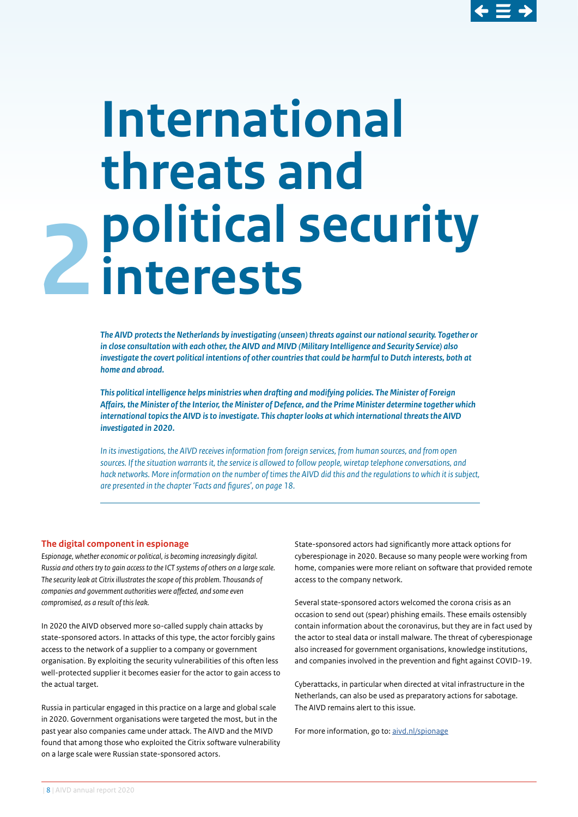

# <span id="page-7-0"></span>**2 International threats and political security interests**

*The AIVD protects the Netherlands by investigating (unseen) threats against our national security. Together or in close consultation with each other, the AIVD and MIVD (Military Intelligence and Security Service) also investigate the covert political intentions of other countries that could be harmful to Dutch interests, both at home and abroad.* 

*This political intelligence helps ministries when drafing and modifying policies. The Minister of Foreign Afairs, the Minister of the Interior, the Minister of Defence, and the Prime Minister determine together which international topics the AIVD is to investigate. This chapter looks at which international threats the AIVD investigated in 2020.*

*In its investigations, the AIVD receives information from foreign services, from human sources, and from open sources. If the situation warrants it, the service is allowed to follow people, wiretap telephone conversations, and hack networks. More information on the number of times the AIVD did this and the regulations to which it is subject, are presented in the chapter 'Facts and fgures', on page 18.*

#### **The digital component in espionage**

*Espionage, whether economic or political, is becoming increasingly digital. Russia and others try to gain access to the ICT systems of others on a large scale. The security leak at Citrix illustrates the scope of this problem. Thousands of companies and government authorities were afected, and some even compromised, as a result of this leak.*

In 2020 the AIVD observed more so-called supply chain atacks by state-sponsored actors. In atacks of this type, the actor forcibly gains access to the network of a supplier to a company or government organisation. By exploiting the security vulnerabilities of this often less well-protected supplier it becomes easier for the actor to gain access to the actual target.

Russia in particular engaged in this practice on a large and global scale in 2020. Government organisations were targeted the most, but in the past year also companies came under atack. The AIVD and the MIVD found that among those who exploited the Citrix software vulnerability on a large scale were Russian state-sponsored actors.

State-sponsored actors had signifcantly more atack options for cyberespionage in 2020. Because so many people were working from home, companies were more reliant on sofware that provided remote access to the company network.

Several state-sponsored actors welcomed the corona crisis as an occasion to send out (spear) phishing emails. These emails ostensibly contain information about the coronavirus, but they are in fact used by the actor to steal data or install malware. The threat of cyberespionage also increased for government organisations, knowledge institutions, and companies involved in the prevention and fght against COVID-19.

Cyberatacks, in particular when directed at vital infrastructure in the Netherlands, can also be used as preparatory actions for sabotage. The AIVD remains alert to this issue.

For more information, go to: [aivd.nl/spionage](https://www.aivd.nl/onderwerpen/spionage)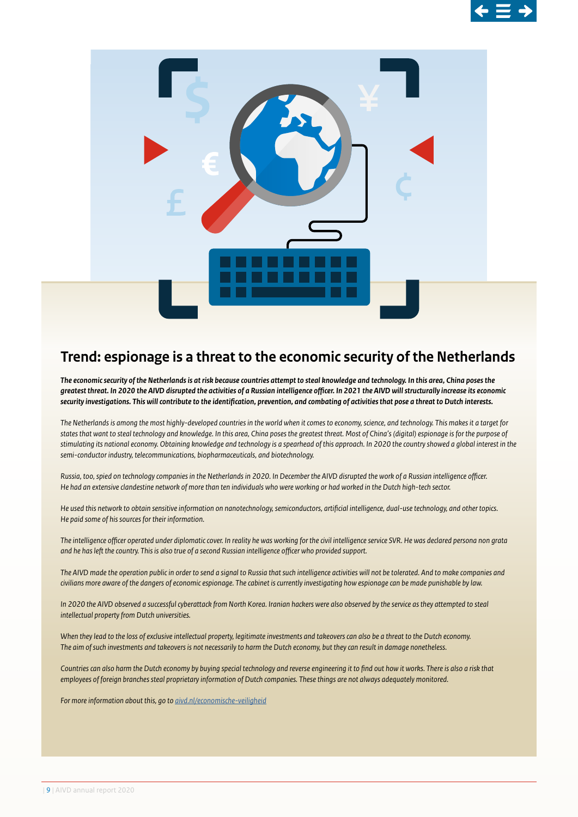

<span id="page-8-0"></span>

# **Trend: espionage is a threat to the economic security of the Netherlands**

*The economic security of the Netherlands is at risk because countries atempt to steal knowledge and technology. In this area, China poses the*  greatest threat. In 2020 the AIVD disrupted the activities of a Russian intelligence officer. In 2021 the AIVD will structurally increase its economic *security investigations. This will contribute to the identifcation, prevention, and combating of activities that pose a threat to Dutch interests.* 

*The Netherlands is among the most highly-developed countries in the world when it comes to economy, science, and technology. This makes it a target for states that want to steal technology and knowledge. In this area, China poses the greatest threat. Most of China's (digital) espionage is for the purpose of stimulating its national economy. Obtaining knowledge and technology is a spearhead of this approach. In 2020 the country showed a global interest in the semi-conductor industry, telecommunications, biopharmaceuticals, and biotechnology.*

*Russia, too, spied on technology companies in the Netherlands in 2020. In December the AIVD disrupted the work of a Russian intelligence officer. He had an extensive clandestine network of more than ten individuals who were working or had worked in the Dutch high-tech sector.*

*He used this network to obtain sensitive information on nanotechnology, semiconductors, artifcial intelligence, dual-use technology, and other topics. He paid some of his sources for their information.*

The intelligence officer operated under diplomatic cover. In reality he was working for the civil intelligence service SVR. He was declared persona non grata and he has left the country. This is also true of a second Russian intelligence officer who provided support.

*The AIVD made the operation public in order to send a signal to Russia that such intelligence activities will not be tolerated. And to make companies and civilians more aware of the dangers of economic espionage. The cabinet is currently investigating how espionage can be made punishable by law.* 

In 2020 the AIVD observed a successful cyberattack from North Korea. Iranian hackers were also observed by the service as they attempted to steal *intellectual property from Dutch universities.* 

*When they lead to the loss of exclusive intellectual property, legitimate investments and takeovers can also be a threat to the Dutch economy. The aim of such investments and takeovers is not necessarily to harm the Dutch economy, but they can result in damage nonetheless.*

*Countries can also harm the Dutch economy by buying special technology and reverse engineering it to fnd out how it works. There is also a risk that employees of foreign branches steal proprietary information of Dutch companies. These things are not always adequately monitored.*

*For more information about this, go to [aivd.nl/economische-veiligheid](https://www.aivd.nl/actueel/nieuws/2021/02/03/nederlandse-veiligheidsbelangen-kwetsbaar-voor-activiteiten-andere-landen)*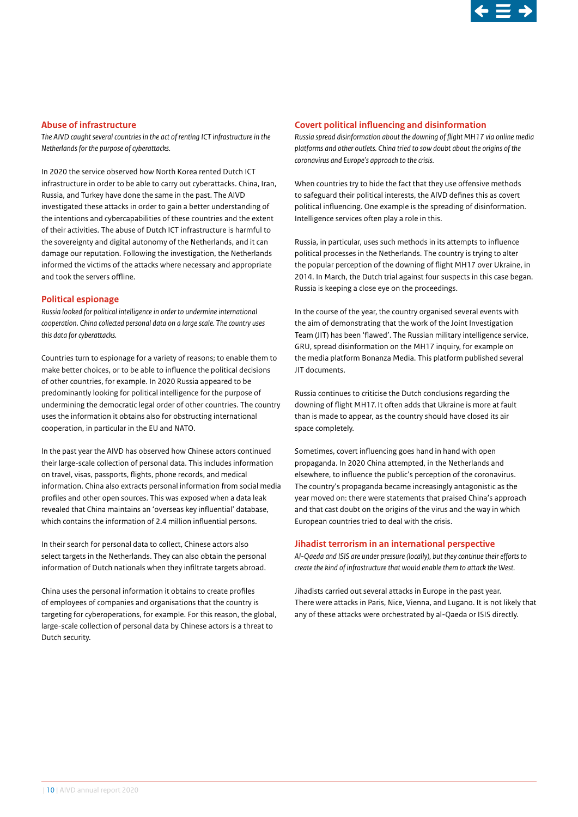

### <span id="page-9-0"></span>**Abuse of infrastructure**

*The AIVD caught several countries in the act of renting ICT infrastructure in the Netherlands for the purpose of cyberatacks.*

In 2020 the service observed how North Korea rented Dutch ICT infrastructure in order to be able to carry out cyberatacks. China, Iran, Russia, and Turkey have done the same in the past. The AIVD investigated these attacks in order to gain a better understanding of the intentions and cybercapabilities of these countries and the extent of their activities. The abuse of Dutch ICT infrastructure is harmful to the sovereignty and digital autonomy of the Netherlands, and it can damage our reputation. Following the investigation, the Netherlands informed the victims of the atacks where necessary and appropriate and took the servers offline.

## **Political espionage**

*Russia looked for political intelligence in order to undermine international cooperation. China collected personal data on a large scale. The country uses this data for cyberatacks.*

Countries turn to espionage for a variety of reasons; to enable them to make beter choices, or to be able to infuence the political decisions of other countries, for example. In 2020 Russia appeared to be predominantly looking for political intelligence for the purpose of undermining the democratic legal order of other countries. The country uses the information it obtains also for obstructing international cooperation, in particular in the EU and NATO.

In the past year the AIVD has observed how Chinese actors continued their large-scale collection of personal data. This includes information on travel, visas, passports, fights, phone records, and medical information. China also extracts personal information from social media profles and other open sources. This was exposed when a data leak revealed that China maintains an 'overseas key infuential' database, which contains the information of 2.4 million infuential persons.

In their search for personal data to collect, Chinese actors also select targets in the Netherlands. They can also obtain the personal information of Dutch nationals when they infltrate targets abroad.

China uses the personal information it obtains to create profles of employees of companies and organisations that the country is targeting for cyberoperations, for example. For this reason, the global, large-scale collection of personal data by Chinese actors is a threat to Dutch security.

#### **Covert political infuencing and disinformation**

*Russia spread disinformation about the downing of fight MH17 via online media platforms and other outlets. China tried to sow doubt about the origins of the coronavirus and Europe's approach to the crisis.*

When countries try to hide the fact that they use offensive methods to safeguard their political interests, the AIVD defnes this as covert political infuencing. One example is the spreading of disinformation. Intelligence services often play a role in this.

Russia, in particular, uses such methods in its atempts to infuence political processes in the Netherlands. The country is trying to alter the popular perception of the downing of fight MH17 over Ukraine, in 2014. In March, the Dutch trial against four suspects in this case began. Russia is keeping a close eye on the proceedings.

In the course of the year, the country organised several events with the aim of demonstrating that the work of the Joint Investigation Team (JIT) has been 'flawed'. The Russian military intelligence service, GRU, spread disinformation on the MH17 inquiry, for example on the media platform Bonanza Media. This platform published several JIT documents.

Russia continues to criticise the Dutch conclusions regarding the downing of flight MH17. It often adds that Ukraine is more at fault than is made to appear, as the country should have closed its air space completely.

Sometimes, covert infuencing goes hand in hand with open propaganda. In 2020 China atempted, in the Netherlands and elsewhere, to infuence the public's perception of the coronavirus. The country's propaganda became increasingly antagonistic as the year moved on: there were statements that praised China's approach and that cast doubt on the origins of the virus and the way in which European countries tried to deal with the crisis.

### **Jihadist terrorism in an international perspective**

*Al-Qaeda and ISIS are under pressure (locally), but they continue their eforts to create the kind of infrastructure that would enable them to atack the West.*

Jihadists carried out several atacks in Europe in the past year. There were atacks in Paris, Nice, Vienna, and Lugano. It is not likely that any of these attacks were orchestrated by al-Qaeda or ISIS directly.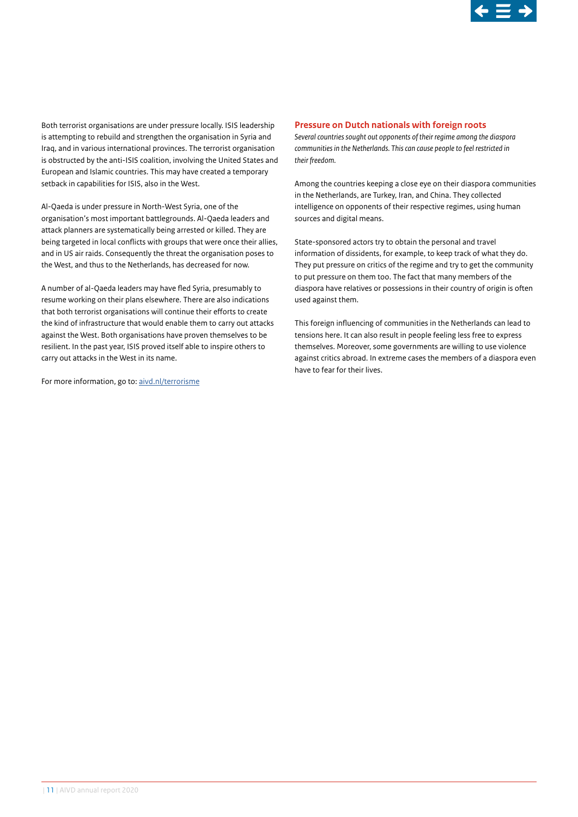

<span id="page-10-0"></span>Both terrorist organisations are under pressure locally. ISIS leadership is atempting to rebuild and strengthen the organisation in Syria and Iraq, and in various international provinces. The terrorist organisation is obstructed by the anti-ISIS coalition, involving the United States and European and Islamic countries. This may have created a temporary setback in capabilities for ISIS, also in the West.

Al-Qaeda is under pressure in North-West Syria, one of the organisation's most important batlegrounds. Al-Qaeda leaders and atack planners are systematically being arrested or killed. They are being targeted in local conficts with groups that were once their allies, and in US air raids. Consequently the threat the organisation poses to the West, and thus to the Netherlands, has decreased for now.

A number of al-Qaeda leaders may have fed Syria, presumably to resume working on their plans elsewhere. There are also indications that both terrorist organisations will continue their efforts to create the kind of infrastructure that would enable them to carry out atacks against the West. Both organisations have proven themselves to be resilient. In the past year, ISIS proved itself able to inspire others to carry out atacks in the West in its name.

For more information, go to: [aivd.nl/terrorisme](https://www.aivd.nl/onderwerpen/terrorisme)

#### **Pressure on Dutch nationals with foreign roots**

*Several countries sought out opponents of their regime among the diaspora communities in the Netherlands. This can cause people to feel restricted in their freedom.*

Among the countries keeping a close eye on their diaspora communities in the Netherlands, are Turkey, Iran, and China. They collected intelligence on opponents of their respective regimes, using human sources and digital means.

State-sponsored actors try to obtain the personal and travel information of dissidents, for example, to keep track of what they do. They put pressure on critics of the regime and try to get the community to put pressure on them too. The fact that many members of the diaspora have relatives or possessions in their country of origin is ofen used against them.

This foreign infuencing of communities in the Netherlands can lead to tensions here. It can also result in people feeling less free to express themselves. Moreover, some governments are willing to use violence against critics abroad. In extreme cases the members of a diaspora even have to fear for their lives.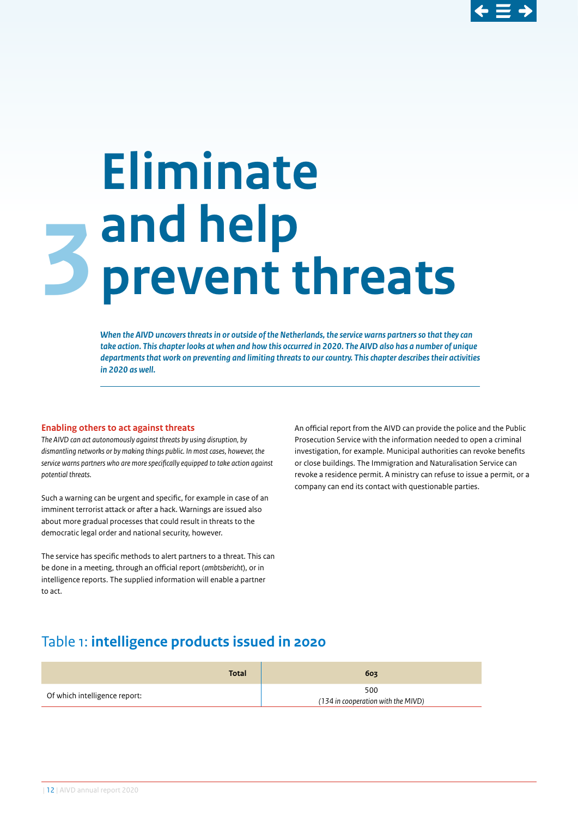

# <span id="page-11-0"></span>**3 Eliminate and help prevent threats**

*When the AIVD uncovers threats in or outside of the Netherlands, the service warns partners so that they can take action. This chapter looks at when and how this occurred in 2020. The AIVD also has a number of unique departments that work on preventing and limiting threats to our country. This chapter describes their activities in 2020 as well.*

#### **Enabling others to act against threats**

*The AIVD can act autonomously against threats by using disruption, by dismantling networks or by making things public. In most cases, however, the service warns partners who are more specifcally equipped to take action against potential threats.*

Such a warning can be urgent and specifc, for example in case of an imminent terrorist attack or after a hack. Warnings are issued also about more gradual processes that could result in threats to the democratic legal order and national security, however.

The service has specifc methods to alert partners to a threat. This can be done in a meeting, through an official report (*ambtsbericht*), or in intelligence reports. The supplied information will enable a partner to act.

An official report from the AIVD can provide the police and the Public Prosecution Service with the information needed to open a criminal investigation, for example. Municipal authorities can revoke benefts or close buildings. The Immigration and Naturalisation Service can revoke a residence permit. A ministry can refuse to issue a permit, or a company can end its contact with questionable parties.

# Table 1: **intelligence products issued in 2020**

| <b>Total</b>                  | 603                                |
|-------------------------------|------------------------------------|
| Of which intelligence report: | 500                                |
|                               | (134 in cooperation with the MIVD) |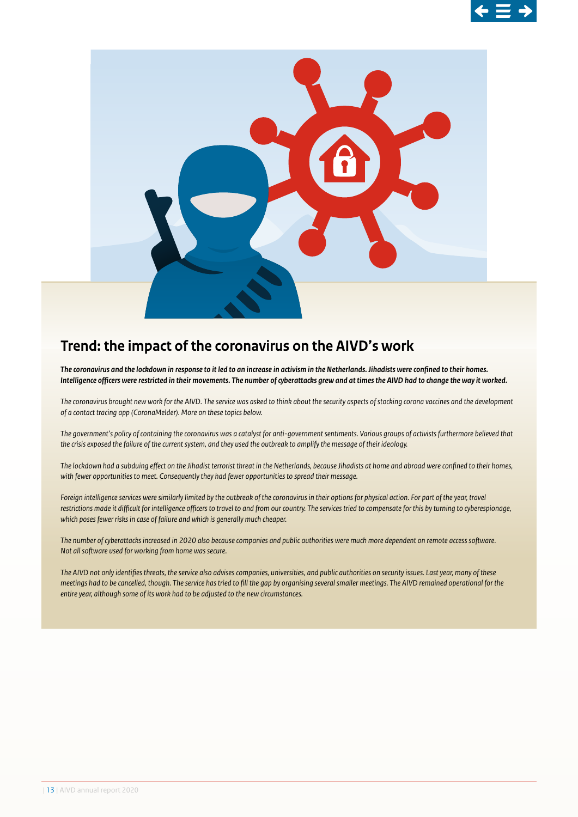

<span id="page-12-0"></span>

# **Trend: the impact of the coronavirus on the AIVD's work**

*The coronavirus and the lockdown in response to it led to an increase in activism in the Netherlands. Jihadists were confned to their homes.*  Intelligence officers were restricted in their movements. The number of cyberattacks grew and at times the AIVD had to change the way it worked.

The coronavirus brought new work for the AIVD. The service was asked to think about the security aspects of stocking corona vaccines and the development *of a contact tracing app (CoronaMelder). More on these topics below.*

*The government's policy of containing the coronavirus was a catalyst for anti-government sentiments. Various groups of activists furthermore believed that the crisis exposed the failure of the current system, and they used the outbreak to amplify the message of their ideology.*

*The lockdown had a subduing efect on the Jihadist terrorist threat in the Netherlands, because Jihadists at home and abroad were confned to their homes, with fewer opportunities to meet. Consequently they had fewer opportunities to spread their message.*

*Foreign intelligence services were similarly limited by the outbreak of the coronavirus in their options for physical action. For part of the year, travel* restrictions made it difficult for intelligence officers to travel to and from our country. The services tried to compensate for this by turning to cyberespionage, *which poses fewer risks in case of failure and which is generally much cheaper.*

*The number of cyberatacks increased in 2020 also because companies and public authorities were much more dependent on remote access sofware. Not all sofware used for working from home was secure.*

*The AIVD not only identifes threats, the service also advises companies, universities, and public authorities on security issues. Last year, many of these meetings had to be cancelled, though. The service has tried to fll the gap by organising several smaller meetings. The AIVD remained operational for the entire year, although some of its work had to be adjusted to the new circumstances.*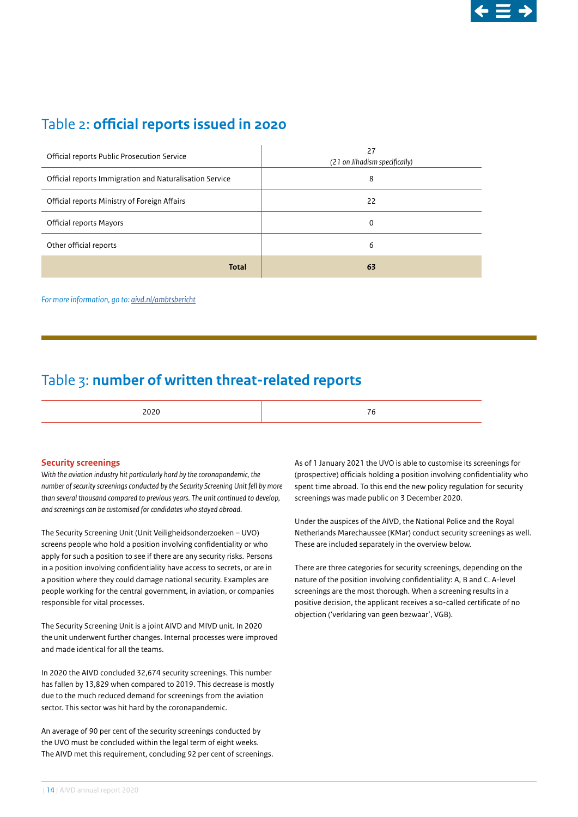

# <span id="page-13-0"></span>Table 2: **official reports issued in 2020**

| Official reports Public Prosecution Service             | 27<br>(21 on Jihadism specifically) |  |
|---------------------------------------------------------|-------------------------------------|--|
| Official reports Immigration and Naturalisation Service | 8                                   |  |
| Official reports Ministry of Foreign Affairs            | 22                                  |  |
| Official reports Mayors                                 | 0                                   |  |
| Other official reports                                  | 6                                   |  |
| <b>Total</b>                                            | 63                                  |  |

*For more information, go to: [aivd.nl/ambtsbericht](http://aivd.nl/ambtsbericht)*

# Table 3: **number of writen threat-related reports**

|--|--|

# **Security screenings**

*With the aviation industry hit particularly hard by the coronapandemic, the number of security screenings conducted by the Security Screening Unit fell by more than several thousand compared to previous years. The unit continued to develop, and screenings can be customised for candidates who stayed abroad.*

The Security Screening Unit (Unit Veiligheidsonderzoeken – UVO) screens people who hold a position involving confdentiality or who apply for such a position to see if there are any security risks. Persons in a position involving confdentiality have access to secrets, or are in a position where they could damage national security. Examples are people working for the central government, in aviation, or companies responsible for vital processes.

The Security Screening Unit is a joint AIVD and MIVD unit. In 2020 the unit underwent further changes. Internal processes were improved and made identical for all the teams.

In 2020 the AIVD concluded 32,674 security screenings. This number has fallen by 13,829 when compared to 2019. This decrease is mostly due to the much reduced demand for screenings from the aviation sector. This sector was hit hard by the coronapandemic.

An average of 90 per cent of the security screenings conducted by the UVO must be concluded within the legal term of eight weeks. The AIVD met this requirement, concluding 92 per cent of screenings. As of 1 January 2021 the UVO is able to customise its screenings for (prospective) officials holding a position involving confidentiality who spent time abroad. To this end the new policy regulation for security screenings was made public on 3 December 2020.

Under the auspices of the AIVD, the National Police and the Royal Netherlands Marechaussee (KMar) conduct security screenings as well. These are included separately in the overview below.

There are three categories for security screenings, depending on the nature of the position involving confdentiality: A, B and C. A-level screenings are the most thorough. When a screening results in a positive decision, the applicant receives a so-called certifcate of no objection ('verklaring van geen bezwaar', VGB).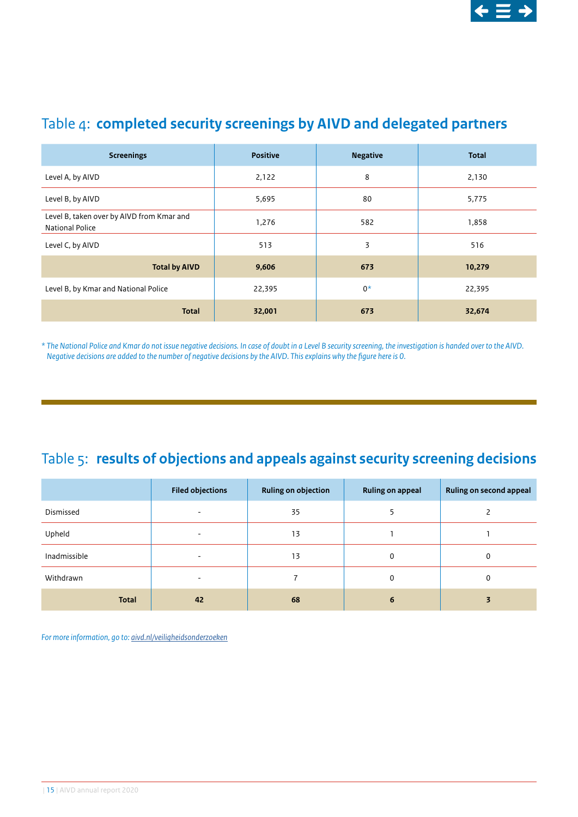

| <b>Screenings</b>                                                   | <b>Positive</b> | <b>Negative</b> | <b>Total</b> |
|---------------------------------------------------------------------|-----------------|-----------------|--------------|
| Level A, by AIVD                                                    | 2,122           | 8               | 2,130        |
| Level B, by AIVD                                                    | 5,695           | 80              | 5,775        |
| Level B, taken over by AIVD from Kmar and<br><b>National Police</b> | 1,276           | 582             | 1,858        |
| Level C, by AIVD                                                    | 513             | 3               | 516          |
| <b>Total by AIVD</b>                                                | 9,606           | 673             | 10,279       |
| Level B, by Kmar and National Police                                | 22,395          | $0^*$           | 22,395       |
| <b>Total</b>                                                        | 32,001          | 673             | 32,674       |

# Table 4: **completed security screenings by AIVD and delegated partners**

*\* The National Police and Kmar do not issue negative decisions. In case of doubt in a Level B security screening, the investigation is handed over to the AIVD. Negative decisions are added to the number of negative decisions by the AIVD. This explains why the fgure here is 0.*

# Table 5: **results of objections and appeals against security screening decisions**

|              | <b>Filed objections</b>  | <b>Ruling on objection</b> | <b>Ruling on appeal</b> | Ruling on second appeal |
|--------------|--------------------------|----------------------------|-------------------------|-------------------------|
| Dismissed    |                          | 35                         |                         |                         |
| Upheld       | $\overline{\phantom{0}}$ | 13                         |                         |                         |
| Inadmissible |                          | 13                         | 0                       | 0                       |
| Withdrawn    |                          |                            | 0                       | 0                       |
| <b>Total</b> | 42                       | 68                         | 6                       |                         |

*For more information, go to: [aivd.nl/veiligheidsonderzoeken](http://aivd.nl/veiligheidsonderzoeken)*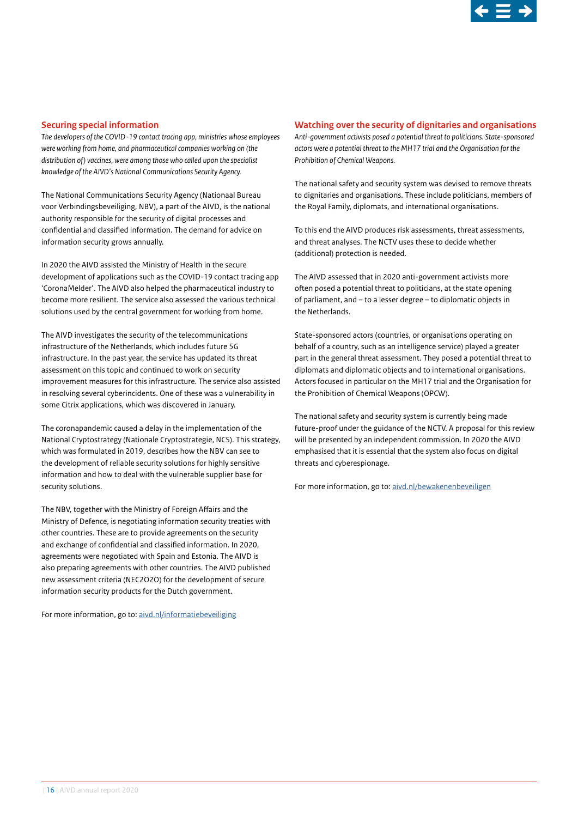

## <span id="page-15-0"></span>**Securing special information**

*The developers of the COVID-19 contact tracing app, ministries whose employees were working from home, and pharmaceutical companies working on (the distribution of) vaccines, were among those who called upon the specialist knowledge of the AIVD's National Communications Security Agency.*

The National Communications Security Agency (Nationaal Bureau voor Verbindingsbeveiliging, NBV), a part of the AIVD, is the national authority responsible for the security of digital processes and confdential and classifed information. The demand for advice on information security grows annually.

In 2020 the AIVD assisted the Ministry of Health in the secure development of applications such as the COVID-19 contact tracing app 'CoronaMelder'. The AIVD also helped the pharmaceutical industry to become more resilient. The service also assessed the various technical solutions used by the central government for working from home.

The AIVD investigates the security of the telecommunications infrastructure of the Netherlands, which includes future 5G infrastructure. In the past year, the service has updated its threat assessment on this topic and continued to work on security improvement measures for this infrastructure. The service also assisted in resolving several cyberincidents. One of these was a vulnerability in some Citrix applications, which was discovered in January.

The coronapandemic caused a delay in the implementation of the National Cryptostrategy (Nationale Cryptostrategie, NCS). This strategy, which was formulated in 2019, describes how the NBV can see to the development of reliable security solutions for highly sensitive information and how to deal with the vulnerable supplier base for security solutions.

The NBV, together with the Ministry of Foreign Affairs and the Ministry of Defence, is negotiating information security treaties with other countries. These are to provide agreements on the security and exchange of confdential and classifed information. In 2020, agreements were negotiated with Spain and Estonia. The AIVD is also preparing agreements with other countries. The AIVD published new assessment criteria (NEC2O2O) for the development of secure information security products for the Dutch government.

For more information, go to: [aivd.nl/informatiebeveiliging](https://www.aivd.nl/onderwerpen/informatiebeveiliging)

#### **Watching over the security of dignitaries and organisations**

*Anti-government activists posed a potential threat to politicians. State-sponsored actors were a potential threat to the MH17 trial and the Organisation for the Prohibition of Chemical Weapons.*

The national safety and security system was devised to remove threats to dignitaries and organisations. These include politicians, members of the Royal Family, diplomats, and international organisations.

To this end the AIVD produces risk assessments, threat assessments, and threat analyses. The NCTV uses these to decide whether (additional) protection is needed.

The AIVD assessed that in 2020 anti-government activists more often posed a potential threat to politicians, at the state opening of parliament, and – to a lesser degree – to diplomatic objects in the Netherlands.

State-sponsored actors (countries, or organisations operating on behalf of a country, such as an intelligence service) played a greater part in the general threat assessment. They posed a potential threat to diplomats and diplomatic objects and to international organisations. Actors focused in particular on the MH17 trial and the Organisation for the Prohibition of Chemical Weapons (OPCW).

The national safety and security system is currently being made future-proof under the guidance of the NCTV. A proposal for this review will be presented by an independent commission. In 2020 the AIVD emphasised that it is essential that the system also focus on digital threats and cyberespionage.

For more information, go to: [aivd.nl/bewakenenbeveiligen](http://aivd.nl/bewakenenbeveiligen)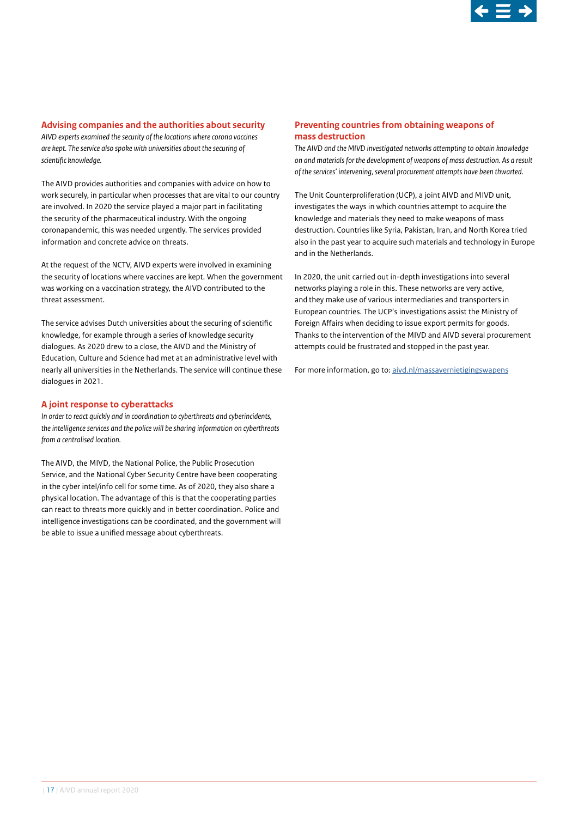

### <span id="page-16-0"></span>**Advising companies and the authorities about security**

*AIVD experts examined the security of the locations where corona vaccines are kept. The service also spoke with universities about the securing of scientifc knowledge.*

The AIVD provides authorities and companies with advice on how to work securely, in particular when processes that are vital to our country are involved. In 2020 the service played a major part in facilitating the security of the pharmaceutical industry. With the ongoing coronapandemic, this was needed urgently. The services provided information and concrete advice on threats.

At the request of the NCTV, AIVD experts were involved in examining the security of locations where vaccines are kept. When the government was working on a vaccination strategy, the AIVD contributed to the threat assessment.

The service advises Dutch universities about the securing of scientifc knowledge, for example through a series of knowledge security dialogues. As 2020 drew to a close, the AIVD and the Ministry of Education, Culture and Science had met at an administrative level with nearly all universities in the Netherlands. The service will continue these dialogues in 2021.

# **A joint response to cyberatacks**

*In order to react quickly and in coordination to cyberthreats and cyberincidents, the intelligence services and the police will be sharing information on cyberthreats from a centralised location.* 

The AIVD, the MIVD, the National Police, the Public Prosecution Service, and the National Cyber Security Centre have been cooperating in the cyber intel/info cell for some time. As of 2020, they also share a physical location. The advantage of this is that the cooperating parties can react to threats more quickly and in beter coordination. Police and intelligence investigations can be coordinated, and the government will be able to issue a unifed message about cyberthreats.

## **Preventing countries from obtaining weapons of mass destruction**

*The AIVD and the MIVD investigated networks atempting to obtain knowledge on and materials for the development of weapons of mass destruction. As a result of the services' intervening, several procurement atempts have been thwarted.*

The Unit Counterproliferation (UCP), a joint AIVD and MIVD unit, investigates the ways in which countries atempt to acquire the knowledge and materials they need to make weapons of mass destruction. Countries like Syria, Pakistan, Iran, and North Korea tried also in the past year to acquire such materials and technology in Europe and in the Netherlands.

In 2020, the unit carried out in-depth investigations into several networks playing a role in this. These networks are very active, and they make use of various intermediaries and transporters in European countries. The UCP's investigations assist the Ministry of Foreign Affairs when deciding to issue export permits for goods. Thanks to the intervention of the MIVD and AIVD several procurement atempts could be frustrated and stopped in the past year.

For more information, go to: [aivd.nl/massavernietigingswapens](https://www.aivd.nl/onderwerpen/massavernietigingswapens)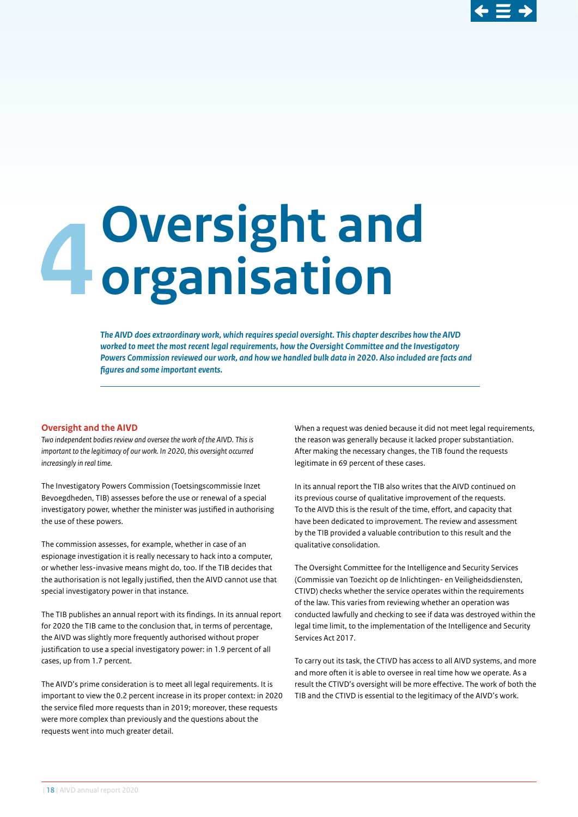

# <span id="page-17-0"></span>**4Oversight and organisation**

*The AIVD does extraordinary work, which requires special oversight. This chapter describes how the AIVD worked to meet the most recent legal requirements, how the Oversight Commitee and the Investigatory Powers Commission reviewed our work, and how we handled bulk data in 2020. Also included are facts and fgures and some important events.*

#### **Oversight and the AIVD**

*Two independent bodies review and oversee the work of the AIVD. This is important to the legitimacy of our work. In 2020, this oversight occurred increasingly in real time.*

The Investigatory Powers Commission (Toetsingscommissie Inzet Bevoegdheden, TIB) assesses before the use or renewal of a special investigatory power, whether the minister was justifed in authorising the use of these powers.

The commission assesses, for example, whether in case of an espionage investigation it is really necessary to hack into a computer, or whether less-invasive means might do, too. If the TIB decides that the authorisation is not legally justifed, then the AIVD cannot use that special investigatory power in that instance.

The TIB publishes an annual report with its fndings. In its annual report for 2020 the TIB came to the conclusion that, in terms of percentage, the AIVD was slightly more frequently authorised without proper justifcation to use a special investigatory power: in 1.9 percent of all cases, up from 1.7 percent.

The AIVD's prime consideration is to meet all legal requirements. It is important to view the 0.2 percent increase in its proper context: in 2020 the service fled more requests than in 2019; moreover, these requests were more complex than previously and the questions about the requests went into much greater detail.

When a request was denied because it did not meet legal requirements, the reason was generally because it lacked proper substantiation. Afer making the necessary changes, the TIB found the requests legitimate in 69 percent of these cases.

In its annual report the TIB also writes that the AIVD continued on its previous course of qualitative improvement of the requests. To the AIVD this is the result of the time, effort, and capacity that have been dedicated to improvement. The review and assessment by the TIB provided a valuable contribution to this result and the qualitative consolidation.

The Oversight Commitee for the Intelligence and Security Services (Commissie van Toezicht op de Inlichtingen- en Veiligheidsdiensten, CTIVD) checks whether the service operates within the requirements of the law. This varies from reviewing whether an operation was conducted lawfully and checking to see if data was destroyed within the legal time limit, to the implementation of the Intelligence and Security Services Act 2017.

To carry out its task, the CTIVD has access to all AIVD systems, and more and more often it is able to oversee in real time how we operate. As a result the CTIVD's oversight will be more efective. The work of both the TIB and the CTIVD is essential to the legitimacy of the AIVD's work.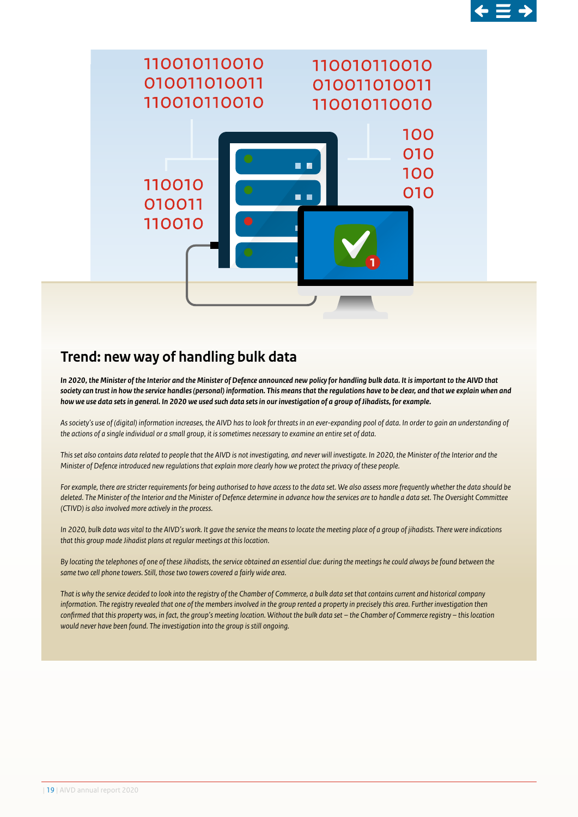

<span id="page-18-0"></span>

# **Trend: new way of handling bulk data**

*In 2020, the Minister of the Interior and the Minister of Defence announced new policy for handling bulk data. It is important to the AIVD that society can trust in how the service handles (personal) information. This means that the regulations have to be clear, and that we explain when and how we use data sets in general. In 2020 we used such data sets in our investigation of a group of Jihadists, for example.*

As society's use of (digital) information increases, the AIVD has to look for threats in an ever-expanding pool of data. In order to gain an understanding of *the actions of a single individual or a small group, it is sometimes necessary to examine an entire set of data.*

*This set also contains data related to people that the AIVD is not investigating, and never will investigate. In 2020, the Minister of the Interior and the Minister of Defence introduced new regulations that explain more clearly how we protect the privacy of these people.*

*For example, there are stricter requirements for being authorised to have access to the data set. We also assess more frequently whether the data should be deleted. The Minister of the Interior and the Minister of Defence determine in advance how the services are to handle a data set. The Oversight Commitee (CTIVD) is also involved more actively in the process.*

*In 2020, bulk data was vital to the AIVD's work. It gave the service the means to locate the meeting place of a group of jihadists. There were indications that this group made Jihadist plans at regular meetings at this location.*

*By locating the telephones of one of these Jihadists, the service obtained an essential clue: during the meetings he could always be found between the same two cell phone towers. Still, those two towers covered a fairly wide area.*

*That is why the service decided to look into the registry of the Chamber of Commerce, a bulk data set that contains current and historical company information. The reqistry revealed that one of the members involved in the group rented a property in precisely this area. Further investigation then confrmed that this property was, in fact, the group's meeting location. Without the bulk data set – the Chamber of Commerce registry – this location would never have been found. The investigation into the group is still ongoing.*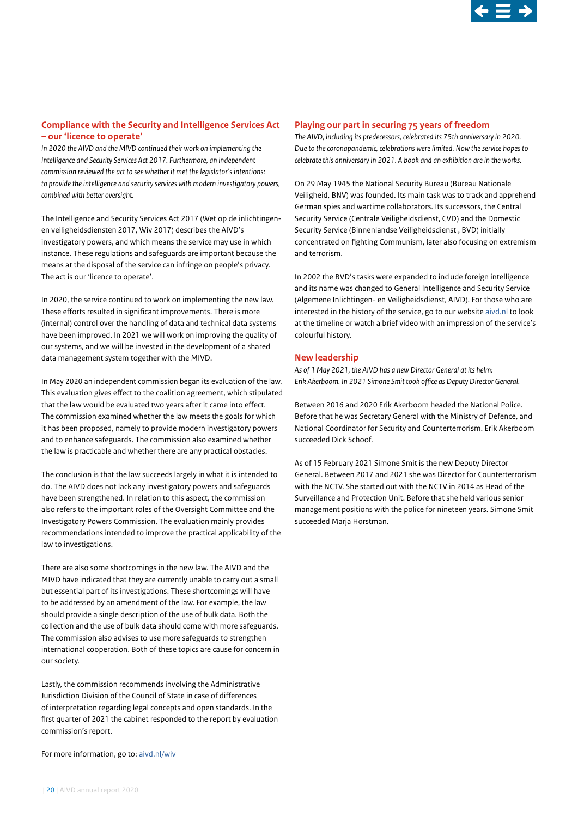

# <span id="page-19-0"></span>**Compliance with the Security and Intelligence Services Act – our 'licence to operate'**

*In 2020 the AIVD and the MIVD continued their work on implementing the Intelligence and Security Services Act 2017. Furthermore, an independent commission reviewed the act to see whether it met the legislator's intentions: to provide the intelligence and security services with modern investigatory powers, combined with beter oversight.*

The Intelligence and Security Services Act 2017 (Wet op de inlichtingenen veiligheidsdiensten 2017, Wiv 2017) describes the AIVD's investigatory powers, and which means the service may use in which instance. These regulations and safeguards are important because the means at the disposal of the service can infringe on people's privacy. The act is our 'licence to operate'.

In 2020, the service continued to work on implementing the new law. These efforts resulted in significant improvements. There is more (internal) control over the handling of data and technical data systems have been improved. In 2021 we will work on improving the quality of our systems, and we will be invested in the development of a shared data management system together with the MIVD.

In May 2020 an independent commission began its evaluation of the law. This evaluation gives efect to the coalition agreement, which stipulated that the law would be evaluated two years after it came into effect. The commission examined whether the law meets the goals for which it has been proposed, namely to provide modern investigatory powers and to enhance safeguards. The commission also examined whether the law is practicable and whether there are any practical obstacles.

The conclusion is that the law succeeds largely in what it is intended to do. The AIVD does not lack any investigatory powers and safeguards have been strengthened. In relation to this aspect, the commission also refers to the important roles of the Oversight Commitee and the Investigatory Powers Commission. The evaluation mainly provides recommendations intended to improve the practical applicability of the law to investigations.

There are also some shortcomings in the new law. The AIVD and the MIVD have indicated that they are currently unable to carry out a small but essential part of its investigations. These shortcomings will have to be addressed by an amendment of the law. For example, the law should provide a single description of the use of bulk data. Both the collection and the use of bulk data should come with more safeguards. The commission also advises to use more safeguards to strengthen international cooperation. Both of these topics are cause for concern in our society.

Lastly, the commission recommends involving the Administrative Jurisdiction Division of the Council of State in case of diferences of interpretation regarding legal concepts and open standards. In the frst quarter of 2021 the cabinet responded to the report by evaluation commission's report.

For more information, go to: [aivd.nl/wiv](https://www.aivd.nl/onderwerpen/wet-op-de-inlichtingen-en-veiligheidsdiensten)

#### **Playing our part in securing 75 years of freedom**

*The AIVD, including its predecessors, celebrated its 75th anniversary in 2020. Due to the coronapandemic, celebrations were limited. Now the service hopes to celebrate this anniversary in 2021. A book and an exhibition are in the works.*

On 29 May 1945 the National Security Bureau (Bureau Nationale Veiligheid, BNV) was founded. Its main task was to track and apprehend German spies and wartime collaborators. Its successors, the Central Security Service (Centrale Veiligheidsdienst, CVD) and the Domestic Security Service (Binnenlandse Veiligheidsdienst , BVD) initially concentrated on fghting Communism, later also focusing on extremism and terrorism.

In 2002 the BVD's tasks were expanded to include foreign intelligence and its name was changed to General Intelligence and Security Service (Algemene Inlichtingen- en Veiligheidsdienst, AIVD). For those who are interested in the history of the service, go to our website [aivd.nl](https://www.aivd.nl) to look at the timeline or watch a brief video with an impression of the service's colourful history.

#### **New leadership**

*As of 1 May 2021, the AIVD has a new Director General at its helm:*  **Erik Akerboom. In 2021 Simone Smit took office as Deputy Director General.** 

Between 2016 and 2020 Erik Akerboom headed the National Police. Before that he was Secretary General with the Ministry of Defence, and National Coordinator for Security and Counterterrorism. Erik Akerboom succeeded Dick Schoof.

As of 15 February 2021 Simone Smit is the new Deputy Director General. Between 2017 and 2021 she was Director for Counterterrorism with the NCTV. She started out with the NCTV in 2014 as Head of the Surveillance and Protection Unit. Before that she held various senior management positions with the police for nineteen years. Simone Smit succeeded Marja Horstman.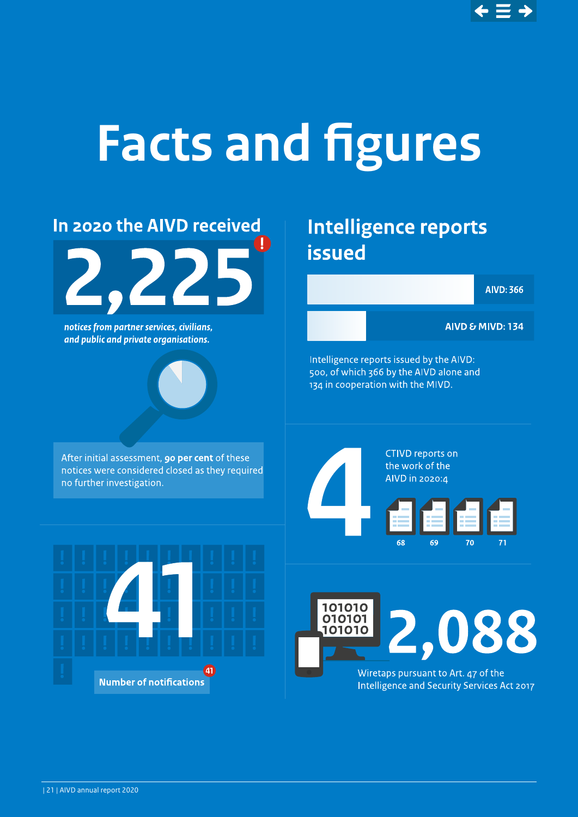

# <span id="page-20-0"></span>**Facts and fgures**



| 21 | AIVD annual report 2020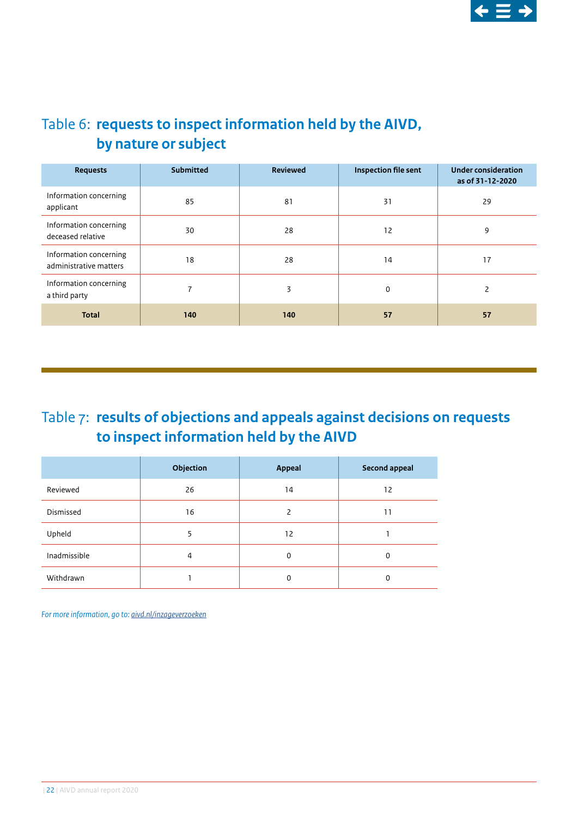

# Table 6: **requests to inspect information held by the AIVD, by nature or subject**

| <b>Requests</b>                                  | Submitted      | <b>Reviewed</b> | <b>Inspection file sent</b> | <b>Under consideration</b><br>as of 31-12-2020 |
|--------------------------------------------------|----------------|-----------------|-----------------------------|------------------------------------------------|
| Information concerning<br>applicant              | 85             | 81              | 31                          | 29                                             |
| Information concerning<br>deceased relative      | 30             | 28              | 12                          | 9                                              |
| Information concerning<br>administrative matters | 18             | 28              | 14                          | 17                                             |
| Information concerning<br>a third party          | $\overline{ }$ | 3               | 0                           | 2                                              |
| <b>Total</b>                                     | 140            | 140             | 57                          | 57                                             |

# Table 7: **results of objections and appeals against decisions on requests to inspect information held by the AIVD**

|              | Objection | <b>Appeal</b>  | Second appeal |
|--------------|-----------|----------------|---------------|
| Reviewed     | 26        | 14             | 12            |
| Dismissed    | 16        | $\overline{2}$ | 11            |
| Upheld       | 5         | 12             |               |
| Inadmissible | 4         | $\mathbf 0$    | 0             |
| Withdrawn    |           | $\mathbf 0$    | 0             |

*For more information, go to: [aivd.nl/inzageverzoeken](http://aivd.nl/inzageverzoeken)*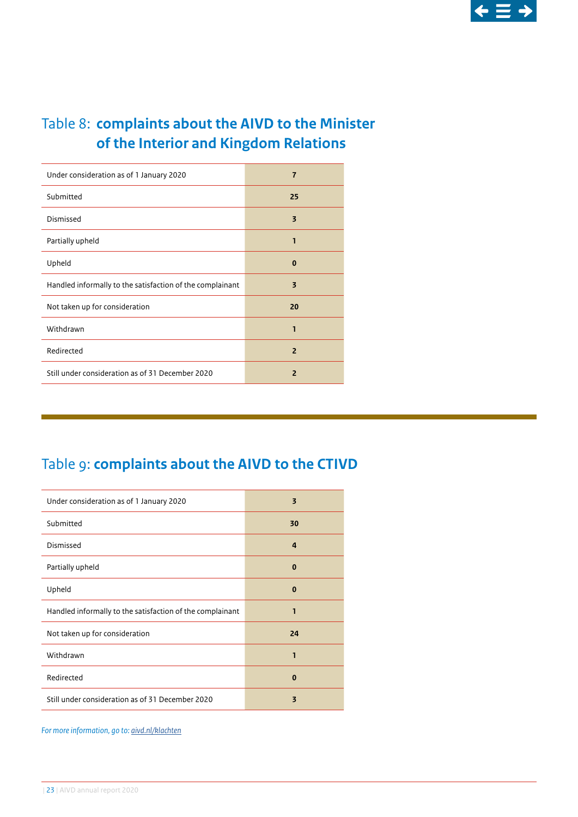

# Table 8: **complaints about the AIVD to the Minister of the Interior and Kingdom Relations**

| Under consideration as of 1 January 2020                  | 7              |
|-----------------------------------------------------------|----------------|
| Submitted                                                 | 25             |
| Dismissed                                                 | 3              |
| Partially upheld                                          | 1              |
| Upheld                                                    | 0              |
| Handled informally to the satisfaction of the complainant | 3              |
| Not taken up for consideration                            | 20             |
| Withdrawn                                                 | 1              |
| Redirected                                                | $\overline{2}$ |
| Still under consideration as of 31 December 2020          | $\overline{2}$ |

# Table 9: **complaints about the AIVD to the CTIVD**

| Under consideration as of 1 January 2020                  | $\overline{\mathbf{3}}$ |
|-----------------------------------------------------------|-------------------------|
| Submitted                                                 | 30                      |
| Dismissed                                                 | $\boldsymbol{a}$        |
| Partially upheld                                          | $\bf{0}$                |
| Upheld                                                    | $\bf{0}$                |
| Handled informally to the satisfaction of the complainant | 1                       |
| Not taken up for consideration                            | 24                      |
| Withdrawn                                                 | 1                       |
| Redirected                                                | $\bf{0}$                |
| Still under consideration as of 31 December 2020          | 3                       |

*For more information, go to: [aivd.nl/klachten](http://aivd.nl/klachten)*